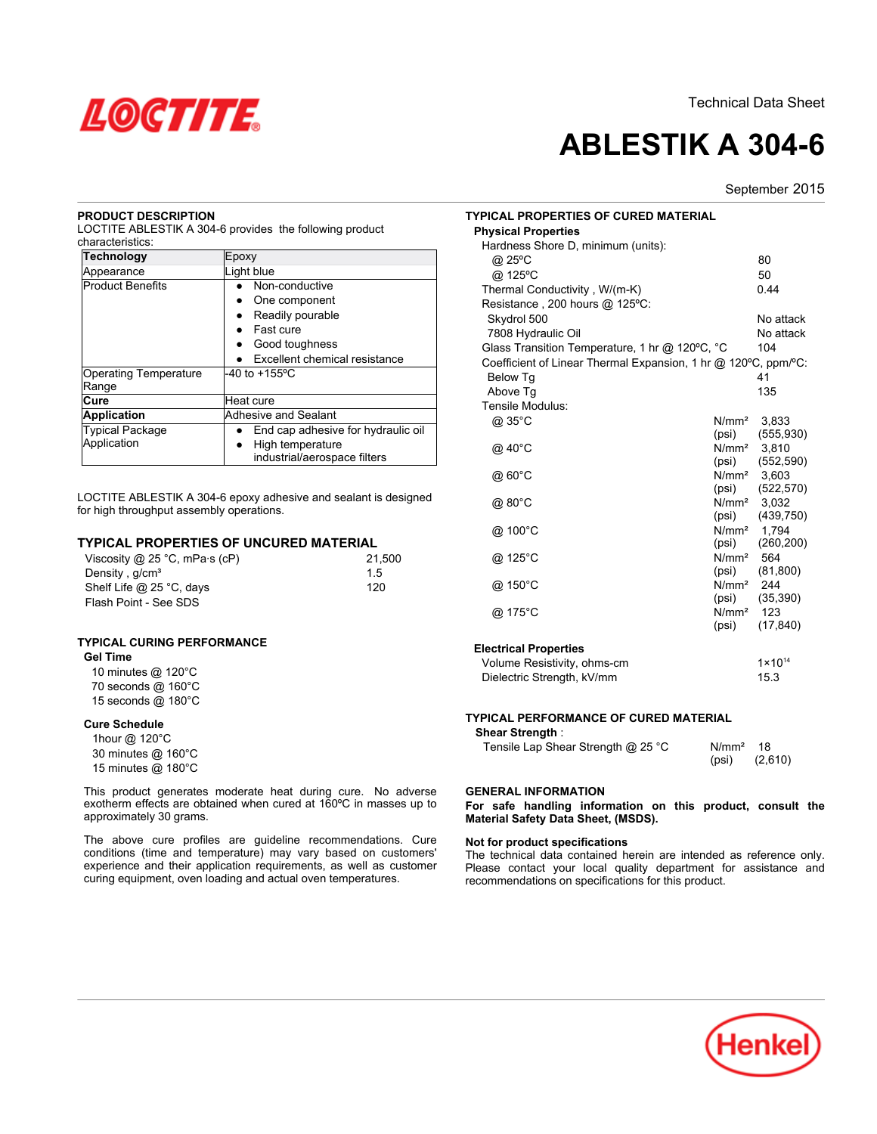

# **ABLESTIK A 304-6**

September 2015

## **PRODUCT DESCRIPTION**

LOCTITE ABLESTIK A 304-6 provides the following product characteristics:

| <b>Technology</b>       | Epoxy                              |
|-------------------------|------------------------------------|
| Appearance              | Light blue                         |
| <b>Product Benefits</b> | Non-conductive                     |
|                         | One component                      |
|                         | Readily pourable                   |
|                         | Fast cure                          |
|                         | Good toughness                     |
|                         | Excellent chemical resistance      |
| Operating Temperature   | $-40$ to $+155$ °C                 |
| Range                   |                                    |
| Cure                    | Heat cure                          |
| <b>Application</b>      | Adhesive and Sealant               |
| <b>Typical Package</b>  | End cap adhesive for hydraulic oil |
| Application             | High temperature                   |
|                         | industrial/aerospace filters       |

LOCTITE ABLESTIK A 304-6 epoxy adhesive and sealant is designed for high throughput assembly operations.

## **TYPICAL PROPERTIES OF UNCURED MATERIAL**

| Viscosity @ 25 °C, mPa $\cdot$ s (cP) | 21.500 |
|---------------------------------------|--------|
| Density, $q/cm3$                      | 15     |
| Shelf Life @ 25 °C, days              | 120    |
| Flash Point - See SDS                 |        |

## **TYPICAL CURING PERFORMANCE**

| <b>Gel Time</b>                 |
|---------------------------------|
| 10 minutes @ 120°C              |
| 70 seconds $@$ 160 $^{\circ}$ C |
| 15 seconds @ 180°C              |

## **Cure Schedule**

| 1hour @ 120°C      |  |
|--------------------|--|
| 30 minutes @ 160°C |  |
| 15 minutes @ 180°C |  |

This product generates moderate heat during cure. No adverse exotherm effects are obtained when cured at 160ºC in masses up to approximately 30 grams.

The above cure profiles are guideline recommendations. Cure conditions (time and temperature) may vary based on customers' experience and their application requirements, as well as customer curing equipment, oven loading and actual oven temperatures.

| <b>TYPICAL PROPERTIES OF CURED MATERIAL</b><br><b>Physical Properties</b> |                            |                     |
|---------------------------------------------------------------------------|----------------------------|---------------------|
| Hardness Shore D, minimum (units):                                        |                            |                     |
| @ 25°C                                                                    |                            | 80                  |
| @ 125°C                                                                   |                            | 50                  |
| Thermal Conductivity, W/(m-K)                                             |                            | 0.44                |
| Resistance, 200 hours @ 125°C:                                            |                            |                     |
|                                                                           |                            | No attack           |
| Skydrol 500                                                               |                            |                     |
| 7808 Hydraulic Oil                                                        |                            | No attack           |
| Glass Transition Temperature, 1 hr @ 120°C, °C                            |                            | 104                 |
| Coefficient of Linear Thermal Expansion, 1 hr @ 120°C, ppm/°C:            |                            |                     |
| <b>Below Tg</b>                                                           |                            | 41                  |
| Above Tq                                                                  |                            | 135                 |
| Tensile Modulus:                                                          |                            |                     |
| @ 35°C                                                                    | N/mm <sup>2</sup>          | 3,833               |
|                                                                           | (psi)                      | (555, 930)          |
| @ 40°C                                                                    | N/mm <sup>2</sup>          | 3,810               |
|                                                                           | (psi)                      | (552, 590)          |
| @ 60°C                                                                    | N/mm <sup>2</sup>          | 3.603               |
|                                                                           | (psi)                      | (522, 570)          |
| @ 80°C                                                                    | N/mm <sup>2</sup>          | 3.032<br>(439, 750) |
|                                                                           | (psi)<br>N/mm <sup>2</sup> | 1.794               |
| @ 100°C                                                                   | (psi)                      | (260, 200)          |
| @ 125°C                                                                   | N/mm <sup>2</sup>          | 564                 |
|                                                                           | (psi)                      | (81, 800)           |
| @ 150°C                                                                   | N/mm <sup>2</sup>          | 244                 |
|                                                                           | (psi)                      | (35, 390)           |
| @ 175°C                                                                   | N/mm <sup>2</sup>          | 123                 |
|                                                                           | (psi)                      | (17, 840)           |
|                                                                           |                            |                     |
| <b>Electrical Properties</b>                                              |                            |                     |
| Volume Resistivity, ohms-cm                                               |                            | $1 \times 10^{14}$  |
| Dielectric Strength, kV/mm                                                |                            | 15.3                |

## **TYPICAL PERFORMANCE OF CURED MATERIAL**

**Shear Strength** :

| Tensile Lap Shear Strength $@$ 25 °C | N/mm <sup>2</sup> 18 |         |
|--------------------------------------|----------------------|---------|
|                                      | (psi)                | (2,610) |

## **GENERAL INFORMATION**

**For safe handling information on this product, consult the Material Safety Data Sheet, (MSDS).**

### **Not for product specifications**

The technical data contained herein are intended as reference only. Please contact your local quality department for assistance and recommendations on specifications for this product.